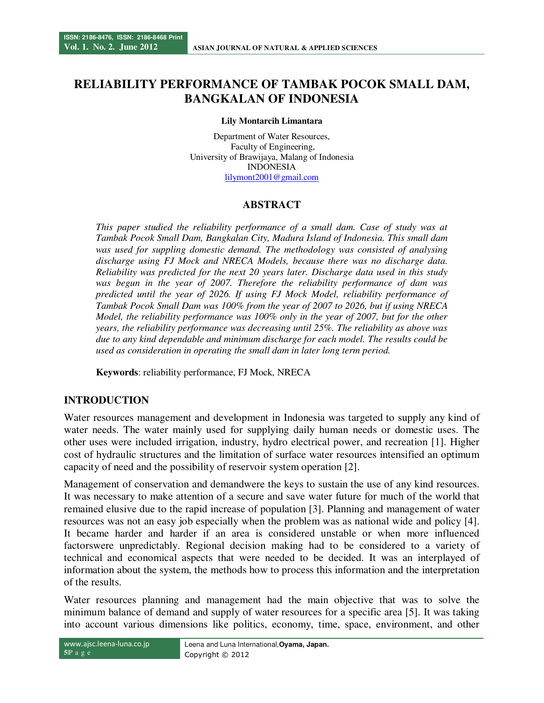# **RELIABILITY PERFORMANCE OF TAMBAK POCOK SMALL DAM, BANGKALAN OF INDONESIA**

#### **Lily Montarcih Limantara**

Department of Water Resources, Faculty of Engineering, University of Brawijaya, Malang of Indonesia INDONESIA lilymont2001@gmail.com

## **ABSTRACT**

*This paper studied the reliability performance of a small dam. Case of study was at Tambak Pocok Small Dam, Bangkalan City, Madura Island of Indonesia. This small dam was used for suppling domestic demand. The methodology was consisted of analysing discharge using FJ Mock and NRECA Models, because there was no discharge data. Reliability was predicted for the next 20 years later. Discharge data used in this study was begun in the year of 2007. Therefore the reliability performance of dam was predicted until the year of 2026. If using FJ Mock Model, reliability performance of Tambak Pocok Small Dam was 100% from the year of 2007 to 2026, but if using NRECA Model, the reliability performance was 100% only in the year of 2007, but for the other years, the reliability performance was decreasing until 25%. The reliability as above was due to any kind dependable and minimum discharge for each model. The results could be used as consideration in operating the small dam in later long term period.* 

**Keywords**: reliability performance, FJ Mock, NRECA

## **INTRODUCTION**

Water resources management and development in Indonesia was targeted to supply any kind of water needs. The water mainly used for supplying daily human needs or domestic uses. The other uses were included irrigation, industry, hydro electrical power, and recreation [1]. Higher cost of hydraulic structures and the limitation of surface water resources intensified an optimum capacity of need and the possibility of reservoir system operation [2].

Management of conservation and demandwere the keys to sustain the use of any kind resources. It was necessary to make attention of a secure and save water future for much of the world that remained elusive due to the rapid increase of population [3]. Planning and management of water resources was not an easy job especially when the problem was as national wide and policy [4]. It became harder and harder if an area is considered unstable or when more influenced factorswere unpredictably. Regional decision making had to be considered to a variety of technical and economical aspects that were needed to be decided. It was an interplayed of information about the system, the methods how to process this information and the interpretation of the results.

Water resources planning and management had the main objective that was to solve the minimum balance of demand and supply of water resources for a specific area [5]. It was taking into account various dimensions like politics, economy, time, space, environment, and other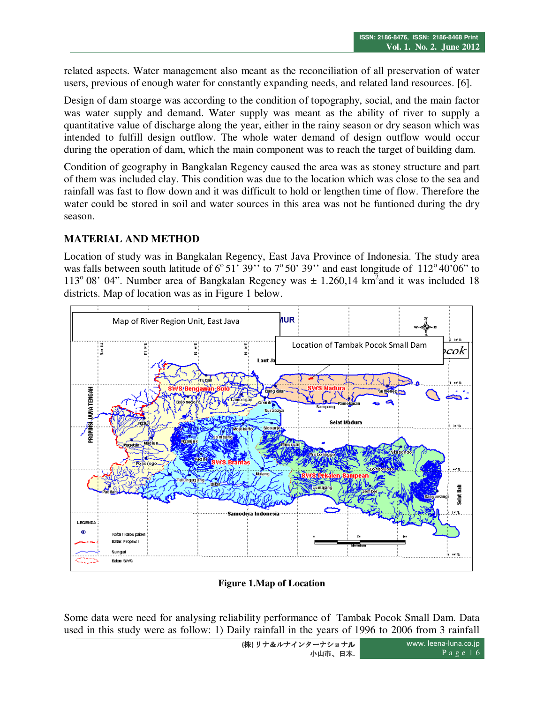related aspects. Water management also meant as the reconciliation of all preservation of water users, previous of enough water for constantly expanding needs, and related land resources. [6].

Design of dam stoarge was according to the condition of topography, social, and the main factor was water supply and demand. Water supply was meant as the ability of river to supply a quantitative value of discharge along the year, either in the rainy season or dry season which was intended to fulfill design outflow. The whole water demand of design outflow would occur during the operation of dam, which the main component was to reach the target of building dam.

Condition of geography in Bangkalan Regency caused the area was as stoney structure and part of them was included clay. This condition was due to the location which was close to the sea and rainfall was fast to flow down and it was difficult to hold or lengthen time of flow. Therefore the water could be stored in soil and water sources in this area was not be funtioned during the dry season.

## **MATERIAL AND METHOD**

Location of study was in Bangkalan Regency, East Java Province of Indonesia. The study area was falls between south latitude of  $6^{\circ}51'$  39'' to  $7^{\circ}50'$  39'' and east longitude of  $112^{\circ}40'06"$  to 113<sup>o</sup> 08' 04". Number area of Bangkalan Regency was  $\pm$  1.260,14 km<sup>2</sup> and it was included 18 districts. Map of location was as in Figure 1 below.



## **Figure 1.Map of Location**

Some data were need for analysing reliability performance of Tambak Pocok Small Dam. Data used in this study were as follow: 1) Daily rainfall in the years of 1996 to 2006 from 3 rainfall

| (株)リナ&ルナインターナショナル | www.leena-luna.co.jp |
|-------------------|----------------------|
| 小山市、日本.           | Page $\vert 6 \vert$ |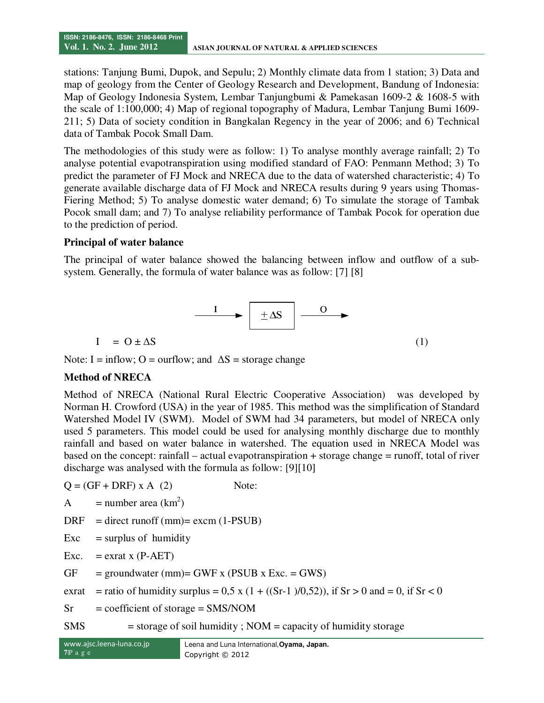stations: Tanjung Bumi, Dupok, and Sepulu; 2) Monthly climate data from 1 station; 3) Data and map of geology from the Center of Geology Research and Development, Bandung of Indonesia: Map of Geology Indonesia System, Lembar Tanjungbumi & Pamekasan 1609-2 & 1608-5 with the scale of 1:100,000; 4) Map of regional topography of Madura, Lembar Tanjung Bumi 1609- 211; 5) Data of society condition in Bangkalan Regency in the year of 2006; and 6) Technical data of Tambak Pocok Small Dam.

The methodologies of this study were as follow: 1) To analyse monthly average rainfall; 2) To analyse potential evapotranspiration using modified standard of FAO: Penmann Method; 3) To predict the parameter of FJ Mock and NRECA due to the data of watershed characteristic; 4) To generate available discharge data of FJ Mock and NRECA results during 9 years using Thomas-Fiering Method; 5) To analyse domestic water demand; 6) To simulate the storage of Tambak Pocok small dam; and 7) To analyse reliability performance of Tambak Pocok for operation due to the prediction of period.

### **Principal of water balance**

The principal of water balance showed the balancing between inflow and outflow of a subsystem. Generally, the formula of water balance was as follow: [7] [8]



Note: I = inflow; O = ourflow; and  $\Delta S$  = storage change

## **Method of NRECA**

Method of NRECA (National Rural Electric Cooperative Association) was developed by Norman H. Crowford (USA) in the year of 1985. This method was the simplification of Standard Watershed Model IV (SWM). Model of SWM had 34 parameters, but model of NRECA only used 5 parameters. This model could be used for analysing monthly discharge due to monthly rainfall and based on water balance in watershed. The equation used in NRECA Model was based on the concept: rainfall – actual evapotranspiration + storage change = runoff, total of river discharge was analysed with the formula as follow: [9][10]

$$
Q = (GF + DRF) \times A \quad (2)
$$
 Note:

A = number area  $(km^2)$ 

 $DRF = direct runoff (mm) = exam (1-PSUB)$ 

 $Exc = surplus of humidity$ 

Exc.  $=$  exrat x (P-AET)

 $GF = \text{groundwater (mm)} = GWF \times (PSUB \times Exc. = GWS)$ 

$$
exrat = ratio of humidity surplus = 0.5 x (1 + ((Sr-1)/0.52)), if Sr > 0 and = 0, if Sr < 0
$$

 $Sr = coefficient of storage = SMS/NOM$ 

```
\text{SMS} = storage of soil humidity ; NOM = capacity of humidity storage
```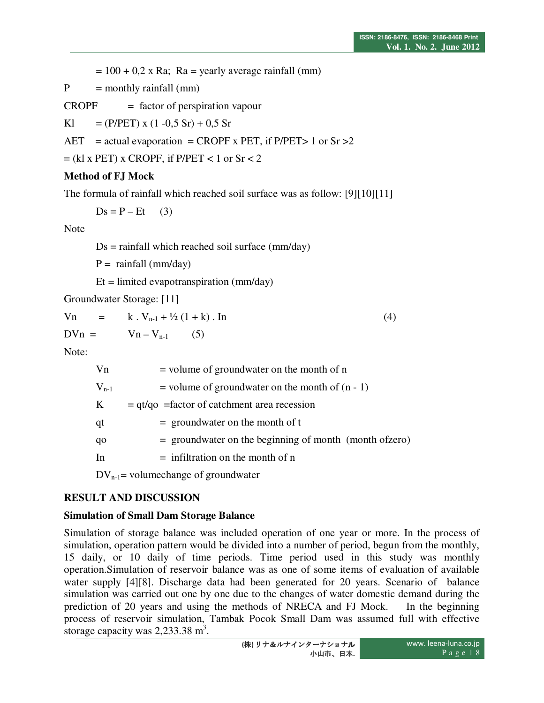$= 100 + 0.2$  x Ra; Ra = yearly average rainfall (mm)

 $P =$  monthly rainfall (mm)

 $CROPF = factor of perspiration vapour$ 

Kl = (P/PET) x (1 -0,5 Sr) + 0,5 Sr

AET = actual evaporation = CROPF x PET, if P/PET > 1 or Sr > 2

 $=$  (kl x PET) x CROPF, if P/PET < 1 or Sr < 2

# **Method of FJ Mock**

The formula of rainfall which reached soil surface was as follow: [9][10][11]

 $Ds = P - Et$  (3)

Note

 $Ds = \text{rainfall}$  which reached soil surface (mm/day)

 $P =$  rainfall (mm/day)

 $Et = limited evaporation (mm/day)$ 

Groundwater Storage: [11]

| Vn        | $=$ k. V <sub>n-1</sub> + 1/2 (1 + k). In | (4) |
|-----------|-------------------------------------------|-----|
|           | $D Vn = V_{n-1}$ (5)                      |     |
| <b>AT</b> |                                           |     |

Note:

| Vn        | $=$ volume of groundwater on the month of n            |
|-----------|--------------------------------------------------------|
| $V_{n-1}$ | $=$ volume of groundwater on the month of $(n - 1)$    |
| K         | $= qt/qo$ = factor of catchment area recession         |
| qt        | $=$ groundwater on the month of t                      |
| qo        | = groundwater on the beginning of month (month ofzero) |
| In.       | $=$ infiltration on the month of n                     |
|           | $DV_{n-1}$ = volumechange of groundwater               |

# **RESULT AND DISCUSSION**

## **Simulation of Small Dam Storage Balance**

Simulation of storage balance was included operation of one year or more. In the process of simulation, operation pattern would be divided into a number of period, begun from the monthly, 15 daily, or 10 daily of time periods. Time period used in this study was monthly operation.Simulation of reservoir balance was as one of some items of evaluation of available water supply [4][8]. Discharge data had been generated for 20 years. Scenario of balance simulation was carried out one by one due to the changes of water domestic demand during the prediction of 20 years and using the methods of NRECA and FJ Mock. In the beginning process of reservoir simulation, Tambak Pocok Small Dam was assumed full with effective storage capacity was  $2,233.38 \text{ m}^3$ .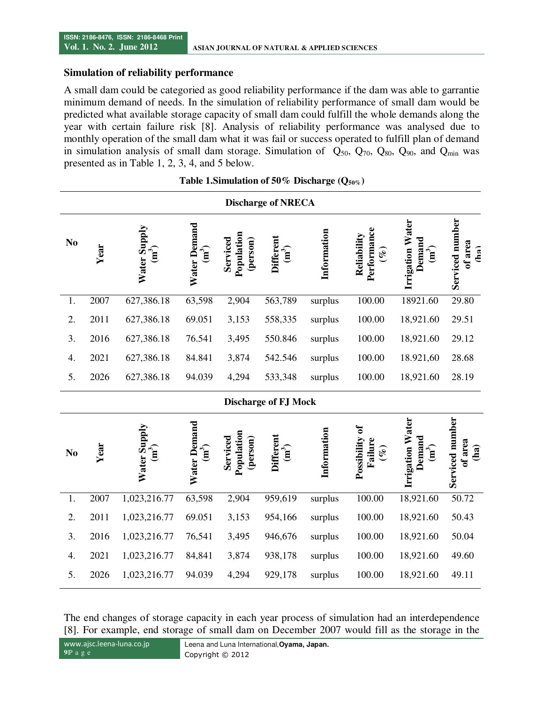#### **Simulation of reliability performance**

A small dam could be categoried as good reliability performance if the dam was able to garrantie minimum demand of needs. In the simulation of reliability performance of small dam would be predicted what available storage capacity of small dam could fulfill the whole demands along the year with certain failure risk [8]. Analysis of reliability performance was analysed due to monthly operation of the small dam what it was fail or success operated to fulfill plan of demand in simulation analysis of small dam storage. Simulation of  $Q_{50}$ ,  $Q_{70}$ ,  $Q_{80}$ ,  $Q_{90}$ , and  $Q_{min}$  was presented as in Table 1, 2, 3, 4, and 5 below.

|                |      |                                    |                                             |                                    | <b>Discharge of NRECA</b>                       |             |                                               |                                                                  |                                    |
|----------------|------|------------------------------------|---------------------------------------------|------------------------------------|-------------------------------------------------|-------------|-----------------------------------------------|------------------------------------------------------------------|------------------------------------|
| N <sub>0</sub> | Year | Water Supply<br>$\mathbf{\hat{a}}$ | Water Demand<br>$\mathbf{m}^2$              | Population<br>Serviced<br>(person) | <b>Different</b><br>$\left(\mathbf{m}^3\right)$ | Information | Performance<br>Reliability<br>$(\mathscr{E})$ | <b>Irrigation Water</b><br>Demand<br>$\left(\mathbf{m}^3\right)$ | Serviced number<br>of area<br>(ha) |
| 1.             | 2007 | 627,386.18                         | 63,598                                      | 2,904                              | 563,789                                         | surplus     | 100.00                                        | 18921.60                                                         | 29.80                              |
| 2.             | 2011 | 627,386.18                         | 69.051                                      | 3,153                              | 558,335                                         | surplus     | 100.00                                        | 18,921.60                                                        | 29.51                              |
| 3.             | 2016 | 627,386.18                         | 76.541                                      | 3,495                              | 550.846                                         | surplus     | 100.00                                        | 18,921.60                                                        | 29.12                              |
| 4.             | 2021 | 627,386.18                         | 84.841                                      | 3,874                              | 542.546                                         | surplus     | 100.00                                        | 18.921,60                                                        | 28.68                              |
| 5.             | 2026 | 627,386.18                         | 94.039                                      | 4,294                              | 533,348                                         | surplus     | 100.00                                        | 18,921.60                                                        | 28.19                              |
|                |      |                                    |                                             |                                    |                                                 |             |                                               |                                                                  |                                    |
|                |      |                                    |                                             |                                    | <b>Discharge of FJ Mock</b>                     |             |                                               |                                                                  |                                    |
| N <sub>o</sub> | Year | Water Supply<br>$\mathbf{m}^2$     | Water Demand<br>$\left(\mathbf{m}^3\right)$ | Population<br>Serviced<br>(person) | <b>Different</b><br>$\mathbf{\hat{a}}$          | Information | Possibility of<br>Failure<br>$\mathscr{E}_2$  | <b>Irrigation Water</b><br>Demand<br>$\mathbf{m}^2$              | Serviced number<br>of area<br>(ha) |
| 1.             | 2007 | 1,023,216.77                       | 63,598                                      | 2,904                              | 959,619                                         | surplus     | 100.00                                        | 18,921.60                                                        | 50.72                              |
| 2.             | 2011 | 1,023,216.77                       | 69.051                                      | 3,153                              | 954,166                                         | surplus     | 100.00                                        | 18,921.60                                                        | 50.43                              |
| 3.             | 2016 | 1,023,216.77                       | 76,541                                      | 3,495                              | 946,676                                         | surplus     | 100.00                                        | 18,921.60                                                        | 50.04                              |
| 4.             | 2021 | 1,023,216.77                       | 84,841                                      | 3,874                              | 938,178                                         | surplus     | 100.00                                        | 18,921.60                                                        | 49.60                              |

**Table 1.Simulation of 50% Discharge (Q50%)** 

The end changes of storage capacity in each year process of simulation had an interdependence [8]. For example, end storage of small dam on December 2007 would fill as the storage in the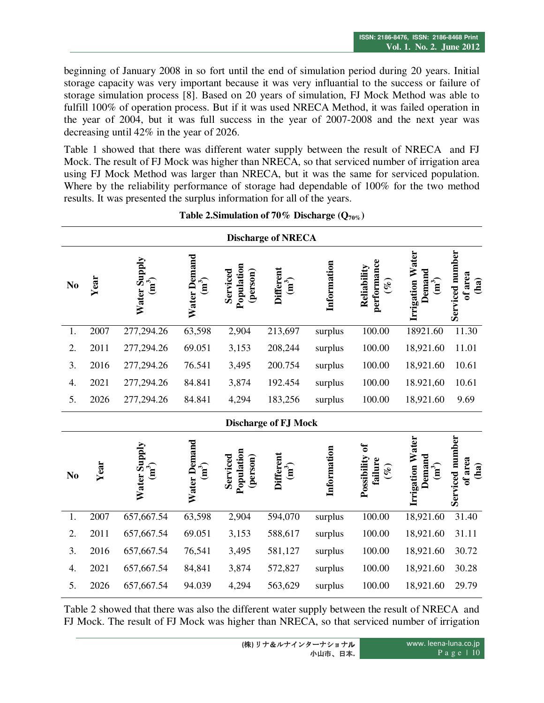beginning of January 2008 in so fort until the end of simulation period during 20 years. Initial storage capacity was very important because it was very influantial to the success or failure of storage simulation process [8]. Based on 20 years of simulation, FJ Mock Method was able to fulfill 100% of operation process. But if it was used NRECA Method, it was failed operation in the year of 2004, but it was full success in the year of 2007-2008 and the next year was decreasing until 42% in the year of 2026.

Table 1 showed that there was different water supply between the result of NRECA and FJ Mock. The result of FJ Mock was higher than NRECA, so that serviced number of irrigation area using FJ Mock Method was larger than NRECA, but it was the same for serviced population. Where by the reliability performance of storage had dependable of 100% for the two method results. It was presented the surplus information for all of the years.

|                |      |                                             |                                             |                                    | <b>Discharge of NRECA</b>                       |             |                                                                          |                                                                |                                    |
|----------------|------|---------------------------------------------|---------------------------------------------|------------------------------------|-------------------------------------------------|-------------|--------------------------------------------------------------------------|----------------------------------------------------------------|------------------------------------|
| N <sub>o</sub> | Year | Water Supply<br>(m <sup>3</sup> )           | Water Demand<br>$\left(\mathbf{m}^3\right)$ | Population<br>Serviced<br>(person) | <b>Different</b><br>$\left(\mathbf{n}^3\right)$ | Information | performance<br>Reliability<br>$(\mathscr{C}_{\hspace{-1pt}\mathscr{B}})$ | Irrigation Water<br>Demand<br>$\mathbf{m}^3$                   | Serviced number<br>of area<br>(ha) |
| 1.             | 2007 | 277,294.26                                  | 63,598                                      | 2,904                              | 213,697                                         | surplus     | 100.00                                                                   | 18921.60                                                       | 11.30                              |
| 2.             | 2011 | 277,294.26                                  | 69.051                                      | 3,153                              | 208,244                                         | surplus     | 100.00                                                                   | 18,921.60                                                      | 11.01                              |
| 3.             | 2016 | 277,294.26                                  | 76.541                                      | 3,495                              | 200.754                                         | surplus     | 100.00                                                                   | 18,921.60                                                      | 10.61                              |
| 4.             | 2021 | 277,294.26                                  | 84.841                                      | 3,874                              | 192.454                                         | surplus     | 100.00                                                                   | 18.921,60                                                      | 10.61                              |
| 5.             | 2026 | 277,294.26                                  | 84.841                                      | 4,294                              | 183,256                                         | surplus     | 100.00                                                                   | 18,921.60                                                      | 9.69                               |
|                |      |                                             |                                             |                                    | <b>Discharge of FJ Mock</b>                     |             |                                                                          |                                                                |                                    |
| N <sub>0</sub> | Year | Water Supply<br>$\left(\mathbf{m}^2\right)$ | Water Demand<br>$(m^3)$                     | Population<br>Serviced<br>(person) | <b>Different</b><br>$(m^3)$                     | Information | Possibility of<br>failure<br>$(\%)$                                      | <b>Irrigation Water</b><br>Demand<br>$\left(\text{m}^3\right)$ | Serviced number<br>of area<br>(ha) |
| 1.             | 2007 | 657, 667.54                                 | 63,598                                      | 2,904                              | 594,070                                         | surplus     | 100.00                                                                   | 18,921.60                                                      | 31.40                              |
| 2.             | 2011 | 657, 667. 54                                | 69.051                                      | 3,153                              | 588,617                                         | surplus     | 100.00                                                                   | 18,921.60                                                      | 31.11                              |
| 3.             | 2016 | 657, 667. 54                                | 76,541                                      | 3,495                              | 581,127                                         | surplus     | 100.00                                                                   | 18,921.60                                                      | 30.72                              |
|                |      |                                             |                                             |                                    |                                                 |             |                                                                          |                                                                |                                    |
| 4.             | 2021 | 657, 667. 54                                | 84,841                                      | 3,874                              | 572,827                                         | surplus     | 100.00                                                                   | 18,921.60                                                      | 30.28                              |

**Table 2.Simulation of 70% Discharge (Q70%)** 

Table 2 showed that there was also the different water supply between the result of NRECA and FJ Mock. The result of FJ Mock was higher than NRECA, so that serviced number of irrigation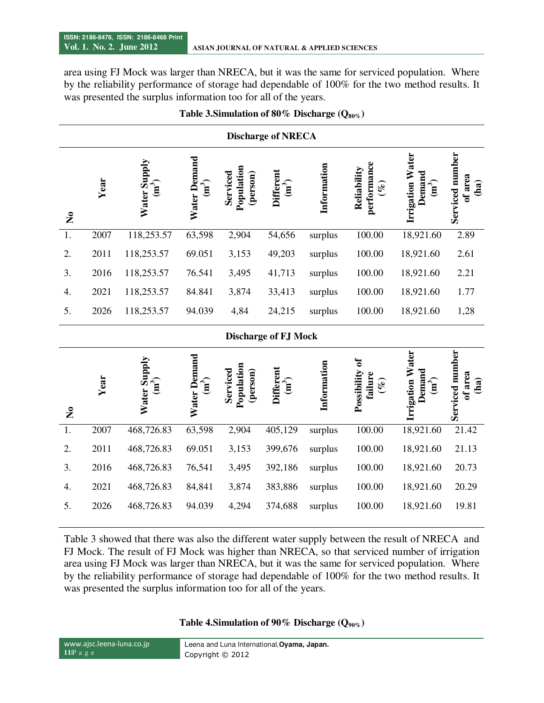area using FJ Mock was larger than NRECA, but it was the same for serviced population. Where by the reliability performance of storage had dependable of 100% for the two method results. It was presented the surplus information too for all of the years.

|                    |      |                                             |                                | <b>Discharge of NRECA</b>          |                                            |             |                                                                          |                                                                  |                                    |
|--------------------|------|---------------------------------------------|--------------------------------|------------------------------------|--------------------------------------------|-------------|--------------------------------------------------------------------------|------------------------------------------------------------------|------------------------------------|
| $\mathbf{z}$       | Year | Water Supply<br>$\mathbf{\hat{a}^{\prime}}$ | Water Demand<br>$\mathbf{m}^3$ | Population<br>Serviced<br>(person) | <b>Different</b><br>$\mathbf{\hat{a}}^{2}$ | Information | performance<br>Reliability<br>$(\mathscr{C}_{\hspace{-1pt}\mathscr{C}})$ | Irrigation Water<br>Demand<br>$\left(\mathbf{m}^3\right)$        | Serviced number<br>of area<br>(ha) |
| 1.                 | 2007 | 118,253.57                                  | 63,598                         | 2,904                              | 54,656                                     | surplus     | 100.00                                                                   | 18,921.60                                                        | 2.89                               |
| 2.                 | 2011 | 118,253.57                                  | 69.051                         | 3,153                              | 49,203                                     | surplus     | 100.00                                                                   | 18,921.60                                                        | 2.61                               |
| 3.                 | 2016 | 118,253.57                                  | 76.541                         | 3,495                              | 41,713                                     | surplus     | 100.00                                                                   | 18,921.60                                                        | 2.21                               |
| 4.                 | 2021 | 118,253.57                                  | 84.841                         | 3,874                              | 33,413                                     | surplus     | 100.00                                                                   | 18,921.60                                                        | 1.77                               |
| 5.                 | 2026 | 118,253.57                                  | 94.039                         | 4,84                               | 24,215                                     | surplus     | 100.00                                                                   | 18,921.60                                                        | 1,28                               |
|                    |      |                                             |                                |                                    |                                            |             |                                                                          |                                                                  |                                    |
|                    |      |                                             |                                |                                    | <b>Discharge of FJ Mock</b>                |             |                                                                          |                                                                  |                                    |
| $\mathbf{\hat{z}}$ | Year | Water Supply<br>$\mathbf{\hat{a}}^{2}$      | Water Demand<br>$\mathbf{m}^3$ | Population<br>Serviced<br>(person) | Different<br>$\mathbf{\hat{a}}$            | Information | Possibility of<br>failure<br>$(\%)$                                      | <b>Irrigation Water</b><br>Demand<br>$\left(\mathbf{m}^3\right)$ | Serviced number<br>of area<br>(ha) |
| 1.                 | 2007 | 468,726.83                                  | 63,598                         | 2,904                              | 405,129                                    | surplus     | 100.00                                                                   | 18,921.60                                                        | 21.42                              |
| 2.                 | 2011 | 468,726.83                                  | 69.051                         | 3,153                              | 399,676                                    | surplus     | 100.00                                                                   | 18,921.60                                                        | 21.13                              |
| 3.                 | 2016 | 468,726.83                                  | 76,541                         | 3,495                              | 392,186                                    | surplus     | 100.00                                                                   | 18,921.60                                                        | 20.73                              |
| 4.                 | 2021 | 468,726.83                                  | 84,841                         | 3,874                              | 383,886                                    | surplus     | 100.00                                                                   | 18,921.60                                                        | 20.29                              |

#### **Table 3.Simulation of 80% Discharge (Q80%)**

Table 3 showed that there was also the different water supply between the result of NRECA and FJ Mock. The result of FJ Mock was higher than NRECA, so that serviced number of irrigation area using FJ Mock was larger than NRECA, but it was the same for serviced population. Where by the reliability performance of storage had dependable of 100% for the two method results. It was presented the surplus information too for all of the years.

**Table 4.Simulation of 90% Discharge (Q90%)**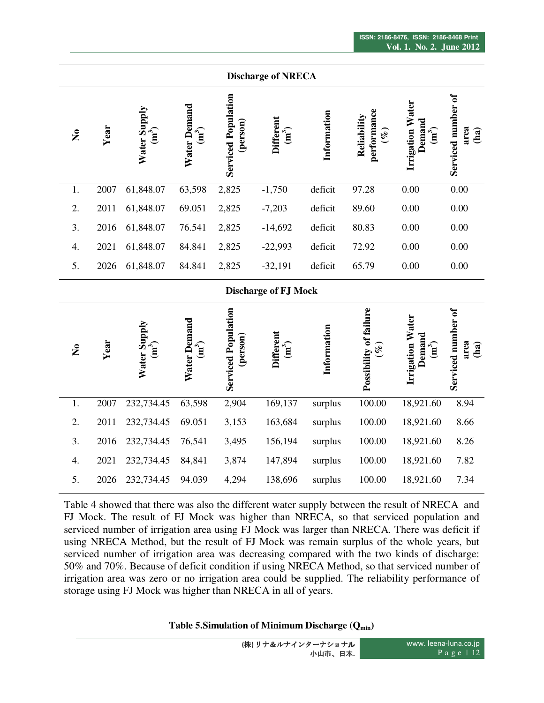|                      |      |                                    |                                    |                                        | <b>Discharge of NRECA</b>              |             |                                         |                                                    |                                                 |
|----------------------|------|------------------------------------|------------------------------------|----------------------------------------|----------------------------------------|-------------|-----------------------------------------|----------------------------------------------------|-------------------------------------------------|
| $\mathbf{\hat{z}}$   | Year | Water Supply<br>$\mathbf{\hat{g}}$ | Water Demand<br>$\mathbf{\hat{g}}$ | <b>Serviced Population</b><br>(person) | <b>Different</b><br>$\mathbf{\hat{g}}$ | Information | performance<br>Reliability<br>$(\%)$    | Irrigation Water<br>Demand<br>$\mathbf{\hat{a}}$   | Serviced number of<br>area<br>(a <sub>a</sub> ) |
| 1.                   | 2007 | 61,848.07                          | 63,598                             | 2,825                                  | $-1,750$                               | deficit     | 97.28                                   | 0.00                                               | $\overline{0.00}$                               |
| 2.                   | 2011 | 61,848.07                          | 69.051                             | 2,825                                  | $-7,203$                               | deficit     | 89.60                                   | 0.00                                               | 0.00                                            |
| 3.                   | 2016 | 61,848.07                          | 76.541                             | 2,825                                  | $-14,692$                              | deficit     | 80.83                                   | 0.00                                               | 0.00                                            |
| 4.                   | 2021 | 61,848.07                          | 84.841                             | 2,825                                  | $-22,993$                              | deficit     | 72.92                                   | 0.00                                               | 0.00                                            |
| 5.                   | 2026 | 61,848.07                          | 84.841                             | 2,825                                  | $-32,191$                              | deficit     | 65.79                                   | 0.00                                               | 0.00                                            |
|                      |      |                                    |                                    |                                        |                                        |             |                                         |                                                    |                                                 |
|                      |      |                                    |                                    |                                        | <b>Discharge of FJ Mock</b>            |             |                                         |                                                    |                                                 |
| $\tilde{\mathbf{z}}$ | Year | Water Supply<br>$(m3)$             | Water Demand<br>$\mathbf{\hat{g}}$ | <b>Serviced Population</b><br>(person) | <b>Different</b><br>$\mathbf{\hat{g}}$ | Information | Possibility of failure<br>$\mathscr{E}$ | Irrigation Water<br>Demand<br>ີ $\mathbf{\hat{g}}$ | Serviced number of<br>area<br>(a <sub>a</sub> ) |
| 1.                   | 2007 | 232,734.45                         | 63,598                             | 2,904                                  | 169, 137                               | surplus     | 100.00                                  | 18,921.60                                          | 8.94                                            |
| 2.                   | 2011 | 232,734.45                         | 69.051                             | 3,153                                  | 163,684                                | surplus     | 100.00                                  | 18,921.60                                          | 8.66                                            |
| 3.                   | 2016 | 232,734.45                         | 76,541                             | 3,495                                  | 156,194                                | surplus     | 100.00                                  | 18,921.60                                          | 8.26                                            |
| 4.                   | 2021 | 232,734.45                         | 84,841                             | 3,874                                  | 147,894                                | surplus     | 100.00                                  | 18,921.60                                          | 7.82                                            |

Table 4 showed that there was also the different water supply between the result of NRECA and FJ Mock. The result of FJ Mock was higher than NRECA, so that serviced population and serviced number of irrigation area using FJ Mock was larger than NRECA. There was deficit if using NRECA Method, but the result of FJ Mock was remain surplus of the whole years, but serviced number of irrigation area was decreasing compared with the two kinds of discharge: 50% and 70%. Because of deficit condition if using NRECA Method, so that serviced number of irrigation area was zero or no irrigation area could be supplied. The reliability performance of storage using FJ Mock was higher than NRECA in all of years.

**Table 5.Simulation of Minimum Discharge (Qmin)**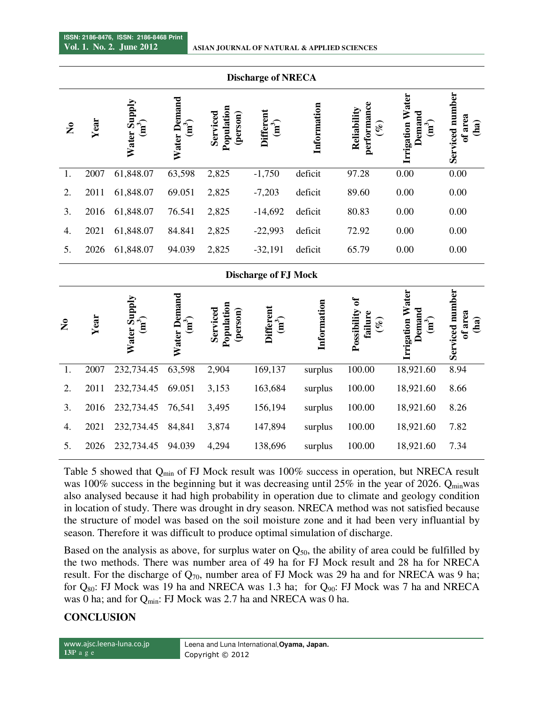|                    |      |                                                |                                        |                                    | <b>Discharge of NRECA</b>              |             |                                               |                                                             |                                                        |
|--------------------|------|------------------------------------------------|----------------------------------------|------------------------------------|----------------------------------------|-------------|-----------------------------------------------|-------------------------------------------------------------|--------------------------------------------------------|
| $\mathbf{\hat{z}}$ | Year | Water Supply<br>$\left(\mathbf{m}^3\right)$    | Water Demand<br>$\mathbf{\hat{m}}^{2}$ | Population<br>Serviced<br>(person) | <b>Different</b><br>$\mathbf{m}^2$     | Information | performance<br>Reliability<br>$(\mathscr{E})$ | <b>Irrigation Water</b><br>Demand<br>$\mathbf{m}^2$         | Serviced number<br>of area<br>$\mathbf{f}(\mathbf{a})$ |
| 1.                 | 2007 | 61,848.07                                      | 63,598                                 | 2,825                              | $-1,750$                               | deficit     | 97.28                                         | 0.00                                                        | $0.00\,$                                               |
| 2.                 | 2011 | 61,848.07                                      | 69.051                                 | 2,825                              | $-7,203$                               | deficit     | 89.60                                         | 0.00                                                        | 0.00                                                   |
| 3.                 | 2016 | 61,848.07                                      | 76.541                                 | 2,825                              | $-14,692$                              | deficit     | 80.83                                         | 0.00                                                        | 0.00                                                   |
| 4.                 | 2021 | 61,848.07                                      | 84.841                                 | 2,825                              | $-22,993$                              | deficit     | 72.92                                         | 0.00                                                        | 0.00                                                   |
| 5.                 | 2026 | 61,848.07                                      | 94.039                                 | 2,825                              | $-32,191$                              | deficit     | 65.79                                         | 0.00                                                        | 0.00                                                   |
|                    |      |                                                |                                        |                                    |                                        |             |                                               |                                                             |                                                        |
|                    |      |                                                |                                        |                                    | <b>Discharge of FJ Mock</b>            |             |                                               |                                                             |                                                        |
| $\mathbf{z}$       | Year | Water Supply<br>$\left( \mathbf{m}^{3}\right)$ | Water Demand<br>$\mathbf{\hat{a}}$     | Population<br>Serviced<br>(person) | <b>Different</b><br>$\mathbf{\hat{a}}$ | Information | Possibility of<br>failure<br>$(\%)$           | <b>Irrigation Water</b><br>Demand<br>$\widehat{\mathbf{H}}$ | Serviced number<br>of area<br>$\mathbf{\widehat{a}}$   |
| 1.                 | 2007 | 232,734.45                                     | 63,598                                 | 2,904                              | 169,137                                | surplus     | 100.00                                        | 18,921.60                                                   | 8.94                                                   |
| 2.                 | 2011 | 232,734.45                                     | 69.051                                 | 3,153                              | 163,684                                | surplus     | 100.00                                        | 18,921.60                                                   | 8.66                                                   |
| 3.                 | 2016 | 232,734.45                                     | 76,541                                 | 3,495                              | 156,194                                | surplus     | 100.00                                        | 18,921.60                                                   | 8.26                                                   |
| 4.                 | 2021 | 232,734.45                                     | 84,841                                 | 3,874                              | 147,894                                | surplus     | 100.00                                        | 18,921.60                                                   | 7.82                                                   |

Table 5 showed that Qmin of FJ Mock result was 100% success in operation, but NRECA result was 100% success in the beginning but it was decreasing until  $25\%$  in the year of 2026. Q<sub>min</sub>was also analysed because it had high probability in operation due to climate and geology condition in location of study. There was drought in dry season. NRECA method was not satisfied because the structure of model was based on the soil moisture zone and it had been very influantial by season. Therefore it was difficult to produce optimal simulation of discharge.

Based on the analysis as above, for surplus water on  $Q_{50}$ , the ability of area could be fulfilled by the two methods. There was number area of 49 ha for FJ Mock result and 28 ha for NRECA result. For the discharge of  $Q_{70}$ , number area of FJ Mock was 29 ha and for NRECA was 9 ha; for  $Q_{80}$ : FJ Mock was 19 ha and NRECA was 1.3 ha; for  $Q_{90}$ : FJ Mock was 7 ha and NRECA was 0 ha; and for Q<sub>min</sub>: FJ Mock was 2.7 ha and NRECA was 0 ha.

### **CONCLUSION**